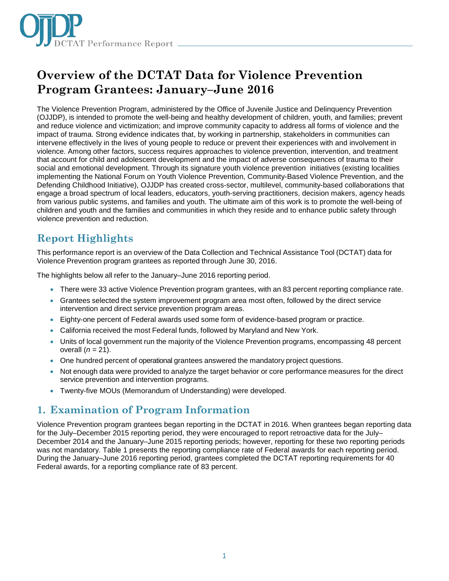

# **Overview of the DCTAT Data for Violence Prevention Program Grantees: January–June 2016**

The Violence Prevention Program, administered by the Office of Juvenile Justice and Delinquency Prevention (OJJDP), is intended to promote the well-being and healthy development of children, youth, and families; prevent and reduce violence and victimization; and improve community capacity to address all forms of violence and the impact of trauma. Strong evidence indicates that, by working in partnership, stakeholders in communities can intervene effectively in the lives of young people to reduce or prevent their experiences with and involvement in violence. Among other factors, success requires approaches to violence prevention, intervention, and treatment that account for child and adolescent development and the impact of adverse consequences of trauma to their social and emotional development. Through its signature youth violence prevention initiatives (existing localities implementing the National Forum on Youth Violence Prevention, Community-Based Violence Prevention, and the Defending Childhood Initiative), OJJDP has created cross-sector, multilevel, community-based collaborations that engage a broad spectrum of local leaders, educators, youth-serving practitioners, decision makers, agency heads from various public systems, and families and youth. The ultimate aim of this work is to promote the well-being of children and youth and the families and communities in which they reside and to enhance public safety through violence prevention and reduction.

# **Report Highlights**

This performance report is an overview of the Data Collection and Technical Assistance Tool (DCTAT) data for Violence Prevention program grantees as reported through June 30, 2016.

The highlights below all refer to the January–June 2016 reporting period.

- There were 33 active Violence Prevention program grantees, with an 83 percent reporting compliance rate.
- Grantees selected the system improvement program area most often, followed by the direct service intervention and direct service prevention program areas.
- Eighty-one percent of Federal awards used some form of evidence-based program or practice.
- California received the most Federal funds, followed by Maryland and New York.
- Units of local government run the majority of the Violence Prevention programs, encompassing 48 percent overall (*n* = 21).
- One hundred percent of operational grantees answered the mandatory project questions.
- Not enough data were provided to analyze the target behavior or core performance measures for the direct service prevention and intervention programs.
- Twenty-five MOUs (Memorandum of Understanding) were developed.

# **1. Examination of Program Information**

Violence Prevention program grantees began reporting in the DCTAT in 2016. When grantees began reporting data for the July–December 2015 reporting period, they were encouraged to report retroactive data for the July– December 2014 and the January–June 2015 reporting periods; however, reporting for these two reporting periods was not mandatory. Table 1 presents the reporting compliance rate of Federal awards for each reporting period. During the January–June 2016 reporting period, grantees completed the DCTAT reporting requirements for 40 Federal awards, for a reporting compliance rate of 83 percent.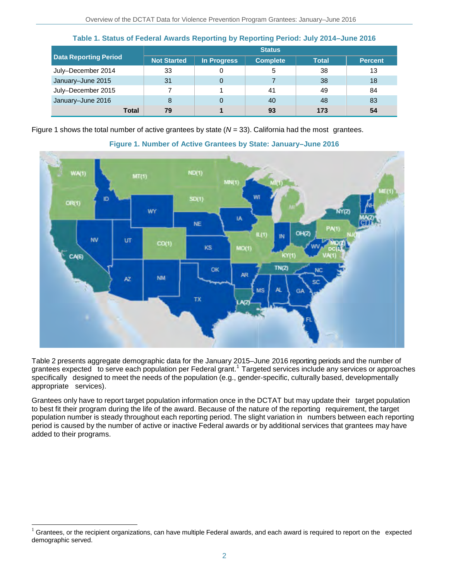|                              | <b>Status</b>      |             |                 |              |                |  |  |
|------------------------------|--------------------|-------------|-----------------|--------------|----------------|--|--|
| <b>Data Reporting Period</b> | <b>Not Started</b> | In Progress | <b>Complete</b> | <b>Total</b> | <b>Percent</b> |  |  |
| July-December 2014           | 33                 |             | 5               | 38           | 13             |  |  |
| January-June 2015            | 31                 | 0           |                 | 38           | 18             |  |  |
| July-December 2015           |                    |             | 41              | 49           | 84             |  |  |
| January-June 2016            | 8                  |             | 40              | 48           | 83             |  |  |
| Total                        | 79                 |             | 93              | 173          | 54             |  |  |

**Table 1. Status of Federal Awards Reporting by Reporting Period: July 2014–June 2016**

Figure 1 shows the total number of active grantees by state (*N* = 33). California had the most grantees.



#### **Figure 1. Number of Active Grantees by State: January–June 2016**

Table 2 presents aggregate demographic data for the January 2015–June 2016 reporting periods and the number of grantees expected to serve each population per Federal grant.<sup>1</sup> Targeted services include any services or approaches specifically designed to meet the needs of the population (e.g., gender-specific, culturally based, developmentally appropriate services).

Grantees only have to report target population information once in the DCTAT but may update their target population to best fit their program during the life of the award. Because of the nature of the reporting requirement, the target population number is steady throughout each reporting period. The slight variation in numbers between each reporting period is caused by the number of active or inactive Federal awards or by additional services that grantees may have added to their programs.

j

 $1$  Grantees, or the recipient organizations, can have multiple Federal awards, and each award is required to report on the expected demographic served.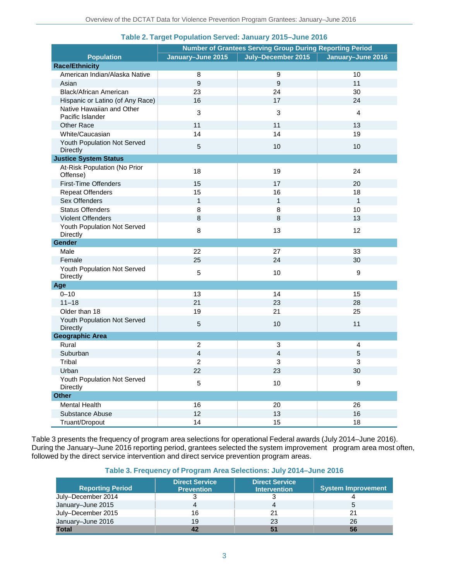|                                                | <b>Number of Grantees Serving Group During Reporting Period</b> |                    |                   |  |  |
|------------------------------------------------|-----------------------------------------------------------------|--------------------|-------------------|--|--|
| <b>Population</b>                              | January-June 2015                                               | July-December 2015 | January-June 2016 |  |  |
| <b>Race/Ethnicity</b>                          |                                                                 |                    |                   |  |  |
| American Indian/Alaska Native                  | 8                                                               | 9                  | 10                |  |  |
| Asian                                          | $\boldsymbol{9}$                                                | $\boldsymbol{9}$   | 11                |  |  |
| <b>Black/African American</b>                  | 23                                                              | 24                 | 30                |  |  |
| Hispanic or Latino (of Any Race)               | 16                                                              | 17                 | 24                |  |  |
| Native Hawaiian and Other<br>Pacific Islander  | $\mathbf{3}$                                                    | 3                  | $\overline{4}$    |  |  |
| <b>Other Race</b>                              | 11                                                              | 11                 | 13                |  |  |
| White/Caucasian                                | 14                                                              | 14                 | 19                |  |  |
| Youth Population Not Served<br><b>Directly</b> | 5                                                               | 10                 | 10                |  |  |
| <b>Justice System Status</b>                   |                                                                 |                    |                   |  |  |
| At-Risk Population (No Prior<br>Offense)       | 18                                                              | 19                 | 24                |  |  |
| <b>First-Time Offenders</b>                    | 15                                                              | 17                 | 20                |  |  |
| <b>Repeat Offenders</b>                        | 15                                                              | 16                 | 18                |  |  |
| Sex Offenders                                  | $\mathbf{1}$                                                    | $\mathbf{1}$       | 1                 |  |  |
| <b>Status Offenders</b>                        | 8                                                               | 8                  | 10                |  |  |
| <b>Violent Offenders</b>                       | $\,8\,$                                                         | 8                  | 13                |  |  |
| Youth Population Not Served<br>Directly        | $\bf 8$                                                         | 13                 | 12                |  |  |
| Gender                                         |                                                                 |                    |                   |  |  |
| Male                                           | 22                                                              | 27                 | 33                |  |  |
| Female                                         | 25                                                              | 24                 | 30                |  |  |
| Youth Population Not Served<br>Directly        | 5                                                               | 10                 | $\boldsymbol{9}$  |  |  |
| Age                                            |                                                                 |                    |                   |  |  |
| $0 - 10$                                       | 13                                                              | 14                 | 15                |  |  |
| $11 - 18$                                      | 21                                                              | 23                 | 28                |  |  |
| Older than 18                                  | 19                                                              | 21                 | 25                |  |  |
| Youth Population Not Served<br>Directly        | $\sqrt{5}$                                                      | 10                 | 11                |  |  |
| <b>Geographic Area</b>                         |                                                                 |                    |                   |  |  |
| Rural                                          | $\overline{2}$                                                  | 3                  | 4                 |  |  |
| Suburban                                       | $\overline{4}$                                                  | $\overline{4}$     | 5                 |  |  |
| Tribal                                         | 2                                                               | 3                  | 3                 |  |  |
| Urban                                          | 22                                                              | 23                 | 30                |  |  |
| Youth Population Not Served<br>Directly        | 5                                                               | 10                 | $\boldsymbol{9}$  |  |  |
| <b>Other</b>                                   |                                                                 |                    |                   |  |  |
| <b>Mental Health</b>                           | 16                                                              | 20                 | 26                |  |  |
| Substance Abuse                                | 12                                                              | 13                 | 16                |  |  |
| Truant/Dropout                                 | 14                                                              | 15                 | 18                |  |  |

#### **Table 2. Target Population Served: January 2015–June 2016**

Table 3 presents the frequency of program area selections for operational Federal awards (July 2014–June 2016). During the January–June 2016 reporting period, grantees selected the system improvement program area most often, followed by the direct service intervention and direct service prevention program areas.

#### **Table 3. Frequency of Program Area Selections: July 2014–June 2016**

| <b>Reporting Period</b> | <b>Direct Service</b><br><b>Prevention</b> | <b>Direct Service</b><br><b>Intervention</b> | System Improvement |
|-------------------------|--------------------------------------------|----------------------------------------------|--------------------|
| July–December 2014      |                                            | ື                                            |                    |
| January-June 2015       | 4                                          | 4                                            | 5                  |
| July–December 2015      | 16                                         | 21                                           | 21                 |
| January-June 2016       | 19                                         | 23                                           | 26                 |
| Total                   | 42                                         | 51                                           | 56                 |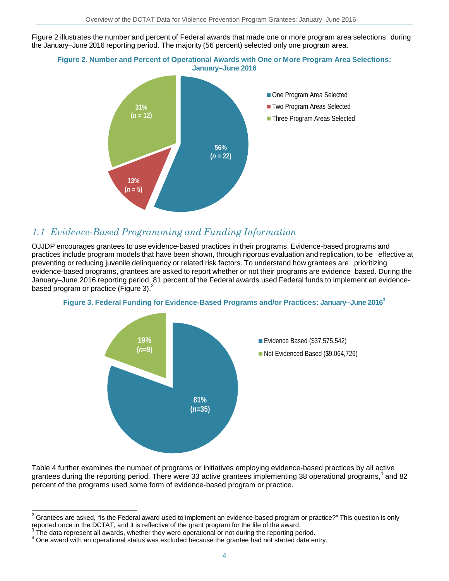Figure 2 illustrates the number and percent of Federal awards that made one or more program area selections during the January–June 2016 reporting period. The majority (56 percent) selected only one program area.





### *1.1 Evidence-Based Programming and Funding Information*

OJJDP encourages grantees to use evidence-based practices in their programs. Evidence-based programs and practices include program models that have been shown, through rigorous evaluation and replication, to be effective at preventing or reducing juvenile delinquency or related risk factors. To understand how grantees are prioritizing evidence-based programs, grantees are asked to report whether or not their programs are evidence based. During the January–June 2016 reporting period, 81 percent of the Federal awards used Federal funds to implement an evidencebased program or practice (Figure 3). $<sup>2</sup>$ </sup>





Table 4 further examines the number of programs or initiatives employing evidence-based practices by all active grantees during the reporting period. There were 33 active grantees implementing 38 operational programs,<sup>4</sup> and 82 percent of the programs used some form of evidence-based program or practice.

 $\overline{a}$  $^2$  Grantees are asked, "Is the Federal award used to implement an evidence-based program or practice?" This question is only reported once in the DCTAT, and it is reflective of the grant program for the life of the award.<br><sup>3</sup> The data represent all awards, whether they were operational or not during the reporting period.<br><sup>4</sup> One award with an op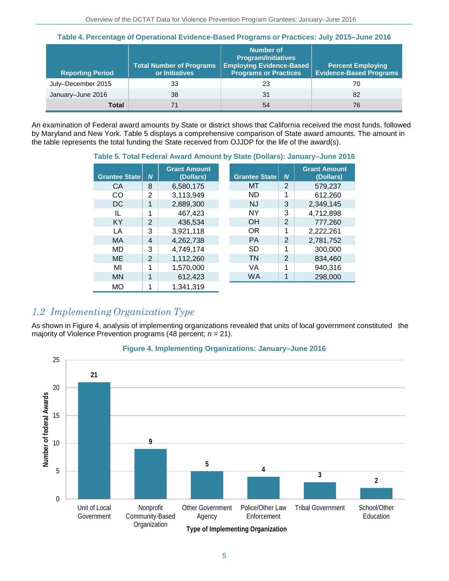| <b>Reporting Period</b> | <b>Total Number of Programs</b><br>or Initiatives | Number of<br><b>Program/Initiatives</b><br><b>Employing Evidence-Based</b><br><b>Programs or Practices</b> | <b>Percent Employing</b><br><b>Evidence-Based Programs</b> |
|-------------------------|---------------------------------------------------|------------------------------------------------------------------------------------------------------------|------------------------------------------------------------|
| July-December 2015      | 33                                                | 23                                                                                                         | 70                                                         |
| January-June 2016       | 38                                                | 31                                                                                                         | 82                                                         |
| Total                   |                                                   | 54                                                                                                         | 76                                                         |

An examination of Federal award amounts by State or district shows that California received the most funds, followed by Maryland and New York. Table 5 displays a comprehensive comparison of State award amounts. The amount in the table represents the total funding the State received from OJJDP for the life of the award(s).

**Table 5. Total Federal Award Amount by State (Dollars): January–June 2016**

| <b>Grantee State</b> | $\boldsymbol{N}$         | <b>Grant Amount</b><br>(Dollars) | <b>Grantee State</b> | $\boldsymbol{N}$ | <b>Grant Amount</b><br>(Dollars) |
|----------------------|--------------------------|----------------------------------|----------------------|------------------|----------------------------------|
| CA                   | 8                        | 6,580,175                        | МT                   | 2                | 579.237                          |
| CO                   | 2                        | 3,113,949                        | ND                   | 1                | 612,260                          |
| DC                   | 1                        | 2,889,300                        | NJ                   | 3                | 2,349,145                        |
| IL                   | 1                        | 467,423                          | <b>NY</b>            | 3                | 4,712,898                        |
| <b>KY</b>            | $\overline{2}$           | 436,534                          | OH                   | $\overline{2}$   | 777,260                          |
| LA                   | 3                        | 3,921,118                        | OR                   | 1                | 2,222,261                        |
| <b>MA</b>            | $\overline{\mathcal{A}}$ | 4,262,738                        | <b>PA</b>            | $\overline{2}$   | 2,781,752                        |
| MD                   | 3                        | 4,749,174                        | <b>SD</b>            | 1                | 300,000                          |
| <b>ME</b>            | $\overline{2}$           | 1,112,260                        | TN                   | $\overline{2}$   | 834,460                          |
| MI                   | 1                        | 1,570,000                        | VA                   | 1                | 940,316                          |
| <b>MN</b>            | 1                        | 612,423                          | <b>WA</b>            | 1                | 298,000                          |
| <b>MO</b>            | 1                        | 1,341,319                        |                      |                  |                                  |

### *1.2 Implementing Organization Type*

As shown in Figure 4, analysis of implementing organizations revealed that units of local government constituted the majority of Violence Prevention programs (48 percent; *n* = 21).



#### **Figure 4. Implementing Organizations: January–June 2016**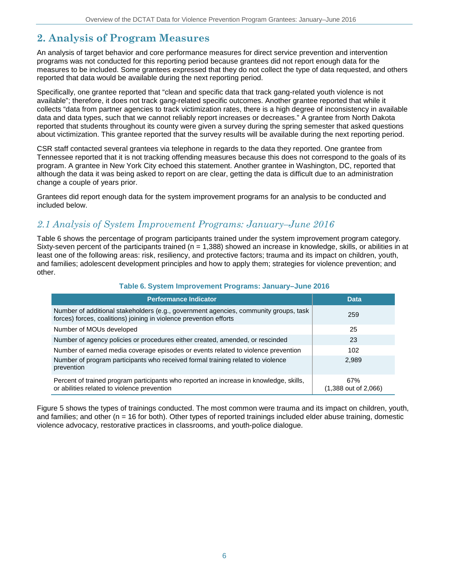# **2. Analysis of Program Measures**

An analysis of target behavior and core performance measures for direct service prevention and intervention programs was not conducted for this reporting period because grantees did not report enough data for the measures to be included. Some grantees expressed that they do not collect the type of data requested, and others reported that data would be available during the next reporting period.

Specifically, one grantee reported that "clean and specific data that track gang-related youth violence is not available"; therefore, it does not track gang-related specific outcomes. Another grantee reported that while it collects "data from partner agencies to track victimization rates, there is a high degree of inconsistency in available data and data types, such that we cannot reliably report increases or decreases." A grantee from North Dakota reported that students throughout its county were given a survey during the spring semester that asked questions about victimization. This grantee reported that the survey results will be available during the next reporting period.

CSR staff contacted several grantees via telephone in regards to the data they reported. One grantee from Tennessee reported that it is not tracking offending measures because this does not correspond to the goals of its program. A grantee in New York City echoed this statement. Another grantee in Washington, DC, reported that although the data it was being asked to report on are clear, getting the data is difficult due to an administration change a couple of years prior.

Grantees did report enough data for the system improvement programs for an analysis to be conducted and included below.

### *2.1 Analysis of System Improvement Programs: January–June 2016*

Table 6 shows the percentage of program participants trained under the system improvement program category. Sixty-seven percent of the participants trained ( $n = 1,388$ ) showed an increase in knowledge, skills, or abilities in at least one of the following areas: risk, resiliency, and protective factors; trauma and its impact on children, youth, and families; adolescent development principles and how to apply them; strategies for violence prevention; and other.

| <b>Performance Indicator</b>                                                                                                                               | <b>Data</b>                   |
|------------------------------------------------------------------------------------------------------------------------------------------------------------|-------------------------------|
| Number of additional stakeholders (e.g., government agencies, community groups, task<br>forces) forces, coalitions) joining in violence prevention efforts | 259                           |
| Number of MOUs developed                                                                                                                                   | 25                            |
| Number of agency policies or procedures either created, amended, or rescinded                                                                              | 23                            |
| Number of earned media coverage episodes or events related to violence prevention                                                                          | 102                           |
| Number of program participants who received formal training related to violence<br>prevention                                                              | 2,989                         |
| Percent of trained program participants who reported an increase in knowledge, skills,<br>or abilities related to violence prevention                      | 67%<br>$(1,388$ out of 2,066) |

#### **Table 6. System Improvement Programs: January–June 2016**

Figure 5 shows the types of trainings conducted. The most common were trauma and its impact on children, youth, and families; and other ( $n = 16$  for both). Other types of reported trainings included elder abuse training, domestic violence advocacy, restorative practices in classrooms, and youth-police dialogue.